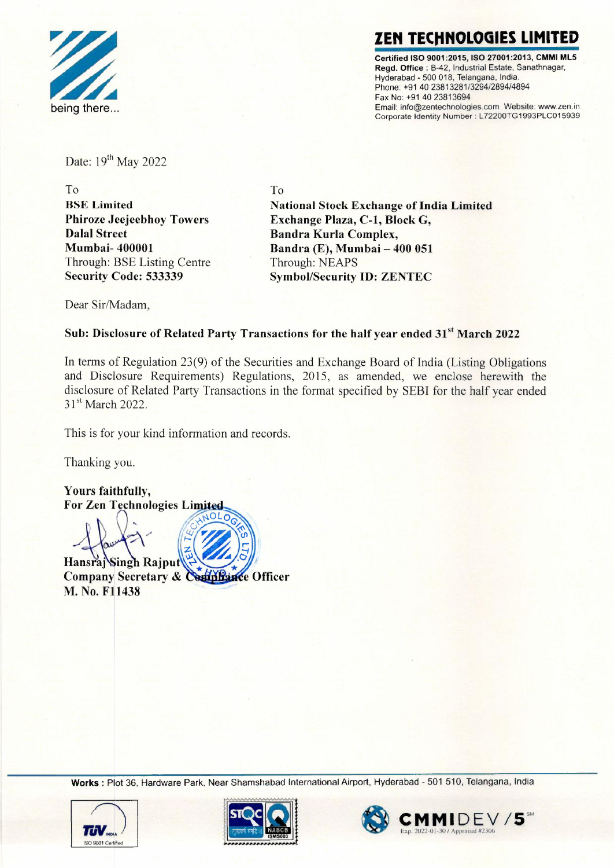

## ZEN TECHNOLOGIES LIMI

**Certified ISO 9001 :2015, ISO 27001 :2013, CMMI ML5 Regd. Office :** 8-42, Industrial Estate, Sanathnagar, Hyderabad - 500 018, Telangana, India. Phone: +91 40 23813281/3294/2894/4894 Fax No: +914023813694 Email: info@zentechnologies.com Website: www.zen.in Corporate Identity Number: L72200TG1993PLC015939

Date: 19<sup>th</sup> May 2022

To **BSE Limited Phiroze Jeejeebhoy Towers Dalal Street Mumbai- 400001**  Through: BSE Listing Centre **Security Code: 533339** 

To **National Stock Exchange of India Limited Exchange Plaza, C-1, Block G, Bandra Kurla Complex, Bandra (E), Mumbai - 400 051**  Through: NEAPS **Symbol/Security ID: ZENTEC** 

Dear Sir/Madam,

## Sub: Disclosure of Related Party Transactions for the half year ended 31<sup>st</sup> March 2022

In terms of Regulation 23(9) of the Securities and Exchange Board of India (Listing Obligations and Disclosure Requirements) Regulations, 2015, as amended, we enclose herewith the disclosure of Related Party Transactions in the format specified by SEBI for the half year ended 31<sup>st</sup> March 2022.

This is for your kind information and records.

Thanking you.

Yours faithfully, **For Zen Technologies Limited** 

Hansraj Singh Rajput Company Secretary & Comphance Officer M. No. F11438

**Works:** Plot 36, Hardware Park, Near Shamshabad International Airport, Hyderabad - 501 510, Telangana, India